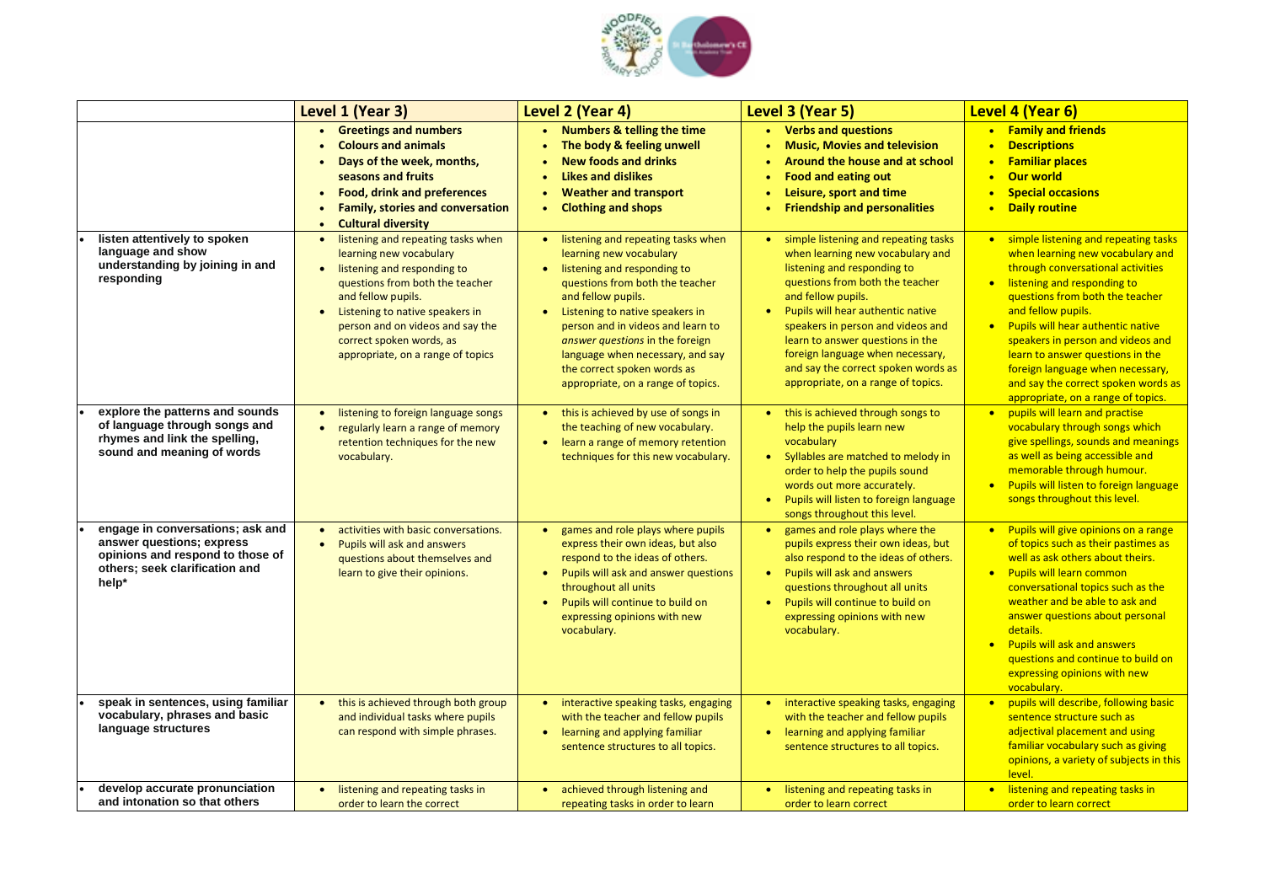

|                                                                                                                                              | Level 1 (Year 3)                                                                                                                                                                                                                                                                                                                     | Level 2 (Year 4)                                                                                                                                                                                                                                                                                                                                                          | Level 3 (Year 5)                                                                                                                                                                                                                                                                                                                                                                                | Level 4 (Year 6)                                                                                                                                                                                                                                             |
|----------------------------------------------------------------------------------------------------------------------------------------------|--------------------------------------------------------------------------------------------------------------------------------------------------------------------------------------------------------------------------------------------------------------------------------------------------------------------------------------|---------------------------------------------------------------------------------------------------------------------------------------------------------------------------------------------------------------------------------------------------------------------------------------------------------------------------------------------------------------------------|-------------------------------------------------------------------------------------------------------------------------------------------------------------------------------------------------------------------------------------------------------------------------------------------------------------------------------------------------------------------------------------------------|--------------------------------------------------------------------------------------------------------------------------------------------------------------------------------------------------------------------------------------------------------------|
|                                                                                                                                              | <b>Greetings and numbers</b><br><b>Colours and animals</b><br>Days of the week, months,<br>seasons and fruits<br><b>Food, drink and preferences</b><br>$\bullet$<br><b>Family, stories and conversation</b><br><b>Cultural diversity</b>                                                                                             | • Numbers & telling the time<br>The body & feeling unwell<br><b>New foods and drinks</b><br><b>Likes and dislikes</b><br><b>Weather and transport</b><br><b>Clothing and shops</b>                                                                                                                                                                                        | • Verbs and questions<br><b>Music, Movies and television</b><br>Around the house and at school<br><b>Food and eating out</b><br>Leisure, sport and time<br><b>Friendship and personalities</b>                                                                                                                                                                                                  | • Family and fr<br><b>Descriptions</b><br>$\bullet$<br><b>Familiar plac</b><br>$\bullet$<br><b>Our world</b><br>$\bullet$<br><b>Special occas</b><br>$\bullet$<br><b>Daily routine</b><br>$\bullet$                                                          |
| listen attentively to spoken<br>language and show<br>understanding by joining in and<br>responding                                           | listening and repeating tasks when<br>$\bullet$<br>learning new vocabulary<br>listening and responding to<br>$\bullet$<br>questions from both the teacher<br>and fellow pupils.<br>Listening to native speakers in<br>$\bullet$<br>person and on videos and say the<br>correct spoken words, as<br>appropriate, on a range of topics | listening and repeating tasks when<br>learning new vocabulary<br>listening and responding to<br>questions from both the teacher<br>and fellow pupils.<br>Listening to native speakers in<br>person and in videos and learn to<br>answer questions in the foreign<br>language when necessary, and say<br>the correct spoken words as<br>appropriate, on a range of topics. | simple listening and repeating tasks<br>when learning new vocabulary and<br>listening and responding to<br>questions from both the teacher<br>and fellow pupils.<br>Pupils will hear authentic native<br>speakers in person and videos and<br>learn to answer questions in the<br>foreign language when necessary,<br>and say the correct spoken words as<br>appropriate, on a range of topics. | simple listenin<br>$\bullet$<br>when learning<br>through conve<br>listening and r<br>$\bullet$<br>questions fron<br>and fellow pup<br>Pupils will hea<br>$\bullet$<br>speakers in pe<br>learn to answe<br>foreign langua<br>and say the co<br>appropriate, o |
| explore the patterns and sounds<br>of language through songs and<br>rhymes and link the spelling,<br>sound and meaning of words              | listening to foreign language songs<br>$\bullet$<br>regularly learn a range of memory<br>$\bullet$<br>retention techniques for the new<br>vocabulary.                                                                                                                                                                                | • this is achieved by use of songs in<br>the teaching of new vocabulary.<br>learn a range of memory retention<br>techniques for this new vocabulary.                                                                                                                                                                                                                      | this is achieved through songs to<br>help the pupils learn new<br>vocabulary<br>Syllables are matched to melody in<br>order to help the pupils sound<br>words out more accurately.<br>Pupils will listen to foreign language<br>songs throughout this level.                                                                                                                                    | pupils will lear<br>$\bullet$<br>vocabulary thr<br>give spellings,<br>as well as bein<br>memorable th<br><b>Pupils will liste</b><br>$\bullet$<br>songs through                                                                                              |
| engage in conversations; ask and<br>answer questions; express<br>opinions and respond to those of<br>others; seek clarification and<br>help* | activities with basic conversations.<br>$\bullet$<br>Pupils will ask and answers<br>$\bullet$<br>questions about themselves and<br>learn to give their opinions.                                                                                                                                                                     | games and role plays where pupils<br>express their own ideas, but also<br>respond to the ideas of others.<br>Pupils will ask and answer questions<br>throughout all units<br>Pupils will continue to build on<br>expressing opinions with new<br>vocabulary.                                                                                                              | games and role plays where the<br>pupils express their own ideas, but<br>also respond to the ideas of others.<br><b>Pupils will ask and answers</b><br>questions throughout all units<br>Pupils will continue to build on<br>expressing opinions with new<br>vocabulary.                                                                                                                        | <b>Pupils will give</b><br>$\bullet$<br>of topics such<br>well as ask oth<br>• Pupils will lear<br>conversational<br>weather and b<br>answer questio<br>details.<br><b>Pupils will ask</b><br>$\bullet$<br>questions and<br>expressing opi<br>vocabulary.    |
| speak in sentences, using familiar<br>vocabulary, phrases and basic<br>language structures                                                   | this is achieved through both group<br>$\bullet$<br>and individual tasks where pupils<br>can respond with simple phrases.                                                                                                                                                                                                            | interactive speaking tasks, engaging<br>with the teacher and fellow pupils<br>learning and applying familiar<br>$\bullet$<br>sentence structures to all topics.                                                                                                                                                                                                           | interactive speaking tasks, engaging<br>with the teacher and fellow pupils<br>learning and applying familiar<br>sentence structures to all topics.                                                                                                                                                                                                                                              | pupils will des<br>$\bullet$<br>sentence struc<br>adjectival plac<br>familiar vocab<br>opinions, a var<br>level.                                                                                                                                             |
| develop accurate pronunciation<br>and intonation so that others                                                                              | listening and repeating tasks in<br>$\bullet$<br>order to learn the correct                                                                                                                                                                                                                                                          | achieved through listening and<br>repeating tasks in order to learn                                                                                                                                                                                                                                                                                                       | listening and repeating tasks in<br>order to learn correct                                                                                                                                                                                                                                                                                                                                      | listening and r<br>$\bullet$<br>order to learn                                                                                                                                                                                                               |

|           | <b>Level 4 (Year 6)</b>                  |
|-----------|------------------------------------------|
|           | <b>Family and friends</b>                |
|           | <b>Descriptions</b>                      |
|           | <b>Familiar places</b>                   |
|           | <b>Our world</b>                         |
|           | <b>Special occasions</b>                 |
|           | <b>Daily routine</b>                     |
|           |                                          |
| $\bullet$ | simple listening and repeating tasks     |
|           | when learning new vocabulary and         |
|           | through conversational activities        |
|           | listening and responding to              |
|           | questions from both the teacher          |
|           | and fellow pupils.                       |
|           | <b>Pupils will hear authentic native</b> |
|           | speakers in person and videos and        |
|           | learn to answer questions in the         |
|           | foreign language when necessary,         |
|           | and say the correct spoken words as      |
|           | appropriate, on a range of topics.       |
|           | pupils will learn and practise           |
|           | vocabulary through songs which           |
|           | give spellings, sounds and meanings      |
|           | as well as being accessible and          |
|           | memorable through humour.                |
|           | Pupils will listen to foreign language   |
|           | songs throughout this level.             |
|           | Pupils will give opinions on a range     |
|           | of topics such as their pastimes as      |
|           | well as ask others about theirs.         |
|           | <b>Pupils will learn common</b>          |
|           | conversational topics such as the        |
|           | weather and be able to ask and           |
|           | answer questions about personal          |
|           | details.                                 |
|           | <b>Pupils will ask and answers</b>       |
|           | questions and continue to build on       |
|           | expressing opinions with new             |
|           | vocabulary.                              |
|           | pupils will describe, following basic    |
|           | sentence structure such as               |
|           | adjectival placement and using           |
|           | familiar vocabulary such as giving       |
|           | opinions, a variety of subjects in this  |
|           | level.                                   |
|           | listening and repeating tasks in         |
|           | order to learn correct                   |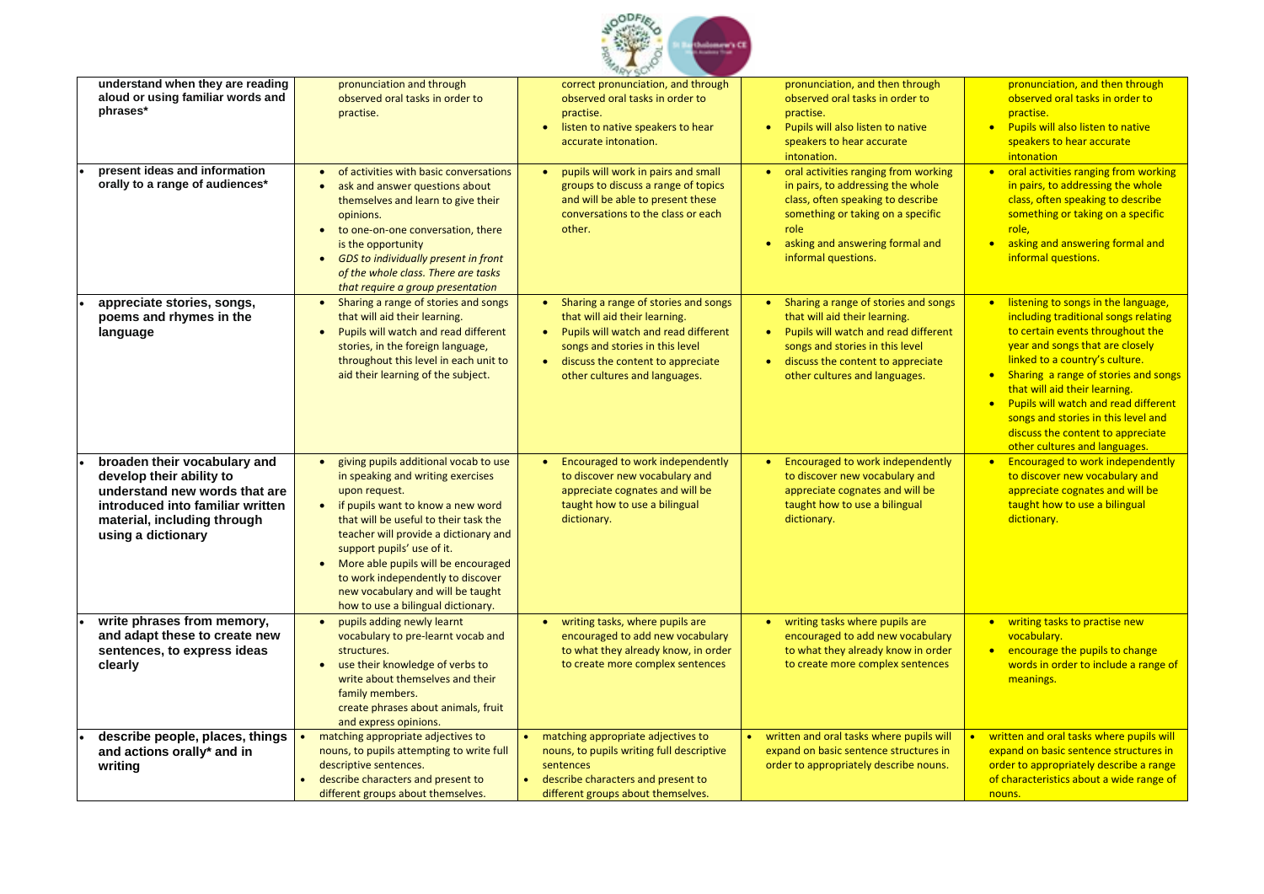

| understand when they are reading<br>aloud or using familiar words and<br>phrases*                                                                                                  | pronunciation and through<br>observed oral tasks in order to<br>practise.                                                                                                                                                                                                                                                                                                                                            | <b>CONTRACTOR</b><br>correct pronunciation, and through<br>observed oral tasks in order to<br>practise.<br>listen to native speakers to hear<br>accurate intonation.                                                                                          | pronunciation, and then through<br>observed oral tasks in order to<br>practise.<br>Pupils will also listen to native<br>$\bullet$<br>speakers to hear accurate<br>intonation.                                                                                 | pronunciation, and then through<br>observed oral tasks in order to<br>practise.<br>• Pupils will also listen to native<br>speakers to hear accurate<br>intonation                                                                                                                                                                                                                                                                   |
|------------------------------------------------------------------------------------------------------------------------------------------------------------------------------------|----------------------------------------------------------------------------------------------------------------------------------------------------------------------------------------------------------------------------------------------------------------------------------------------------------------------------------------------------------------------------------------------------------------------|---------------------------------------------------------------------------------------------------------------------------------------------------------------------------------------------------------------------------------------------------------------|---------------------------------------------------------------------------------------------------------------------------------------------------------------------------------------------------------------------------------------------------------------|-------------------------------------------------------------------------------------------------------------------------------------------------------------------------------------------------------------------------------------------------------------------------------------------------------------------------------------------------------------------------------------------------------------------------------------|
| present ideas and information<br>orally to a range of audiences*                                                                                                                   | • of activities with basic conversations<br>ask and answer questions about<br>themselves and learn to give their<br>opinions.<br>to one-on-one conversation, there<br>is the opportunity<br><b>GDS</b> to individually present in front<br>$\bullet$<br>of the whole class. There are tasks<br>that require a group presentation                                                                                     | pupils will work in pairs and small<br>groups to discuss a range of topics<br>and will be able to present these<br>conversations to the class or each<br>other.                                                                                               | oral activities ranging from working<br>$\bullet$<br>in pairs, to addressing the whole<br>class, often speaking to describe<br>something or taking on a specific<br>role<br>asking and answering formal and<br>$\bullet$<br>informal questions.               | • oral activities ranging from working<br>in pairs, to addressing the whole<br>class, often speaking to describe<br>something or taking on a specific<br>role,<br>asking and answering formal and<br>informal questions.                                                                                                                                                                                                            |
| appreciate stories, songs,<br>poems and rhymes in the<br>language                                                                                                                  | Sharing a range of stories and songs<br>that will aid their learning.<br>Pupils will watch and read different<br>$\bullet$<br>stories, in the foreign language,<br>throughout this level in each unit to<br>aid their learning of the subject.                                                                                                                                                                       | Sharing a range of stories and songs<br>$\bullet$<br>that will aid their learning.<br>Pupils will watch and read different<br>$\bullet$<br>songs and stories in this level<br>discuss the content to appreciate<br>$\bullet$<br>other cultures and languages. | Sharing a range of stories and songs<br>$\bullet$<br>that will aid their learning.<br>Pupils will watch and read different<br>$\bullet$<br>songs and stories in this level<br>discuss the content to appreciate<br>$\bullet$<br>other cultures and languages. | • listening to songs in the language,<br>including traditional songs relating<br>to certain events throughout the<br>year and songs that are closely<br>linked to a country's culture.<br>• Sharing a range of stories and songs<br>that will aid their learning.<br>Pupils will watch and read different<br>$\bullet$<br>songs and stories in this level and<br>discuss the content to appreciate<br>other cultures and languages. |
| broaden their vocabulary and<br>develop their ability to<br>understand new words that are<br>introduced into familiar written<br>material, including through<br>using a dictionary | giving pupils additional vocab to use<br>in speaking and writing exercises<br>upon request.<br>if pupils want to know a new word<br>$\bullet$<br>that will be useful to their task the<br>teacher will provide a dictionary and<br>support pupils' use of it.<br>More able pupils will be encouraged<br>to work independently to discover<br>new vocabulary and will be taught<br>how to use a bilingual dictionary. | <b>Encouraged to work independently</b><br>$\bullet$<br>to discover new vocabulary and<br>appreciate cognates and will be<br>taught how to use a bilingual<br>dictionary.                                                                                     | <b>Encouraged to work independently</b><br>$\bullet$<br>to discover new vocabulary and<br>appreciate cognates and will be<br>taught how to use a bilingual<br>dictionary.                                                                                     | • Encouraged to work independently<br>to discover new vocabulary and<br>appreciate cognates and will be<br>taught how to use a bilingual<br>dictionary.                                                                                                                                                                                                                                                                             |
| write phrases from memory,<br>and adapt these to create new<br>sentences, to express ideas<br>clearly                                                                              | pupils adding newly learnt<br>vocabulary to pre-learnt vocab and<br>structures.<br>use their knowledge of verbs to<br>$\bullet$<br>write about themselves and their<br>family members.<br>create phrases about animals, fruit<br>and express opinions.                                                                                                                                                               | writing tasks, where pupils are<br>$\bullet$<br>encouraged to add new vocabulary<br>to what they already know, in order<br>to create more complex sentences                                                                                                   | writing tasks where pupils are<br>$\bullet$<br>encouraged to add new vocabulary<br>to what they already know in order<br>to create more complex sentences                                                                                                     | • writing tasks to practise new<br>vocabulary.<br>• encourage the pupils to change<br>words in order to include a range of<br>meanings.                                                                                                                                                                                                                                                                                             |
| describe people, places, things<br>and actions orally* and in<br>writing                                                                                                           | matching appropriate adjectives to<br>nouns, to pupils attempting to write full<br>descriptive sentences.<br>describe characters and present to<br>different groups about themselves.                                                                                                                                                                                                                                | matching appropriate adjectives to<br>nouns, to pupils writing full descriptive<br>sentences<br>describe characters and present to<br>$\bullet$<br>different groups about themselves.                                                                         | written and oral tasks where pupils will<br>expand on basic sentence structures in<br>order to appropriately describe nouns.                                                                                                                                  | written and oral tasks where pupils will<br>expand on basic sentence structures in<br>order to appropriately describe a range<br>of characteristics about a wide range of<br>nouns.                                                                                                                                                                                                                                                 |